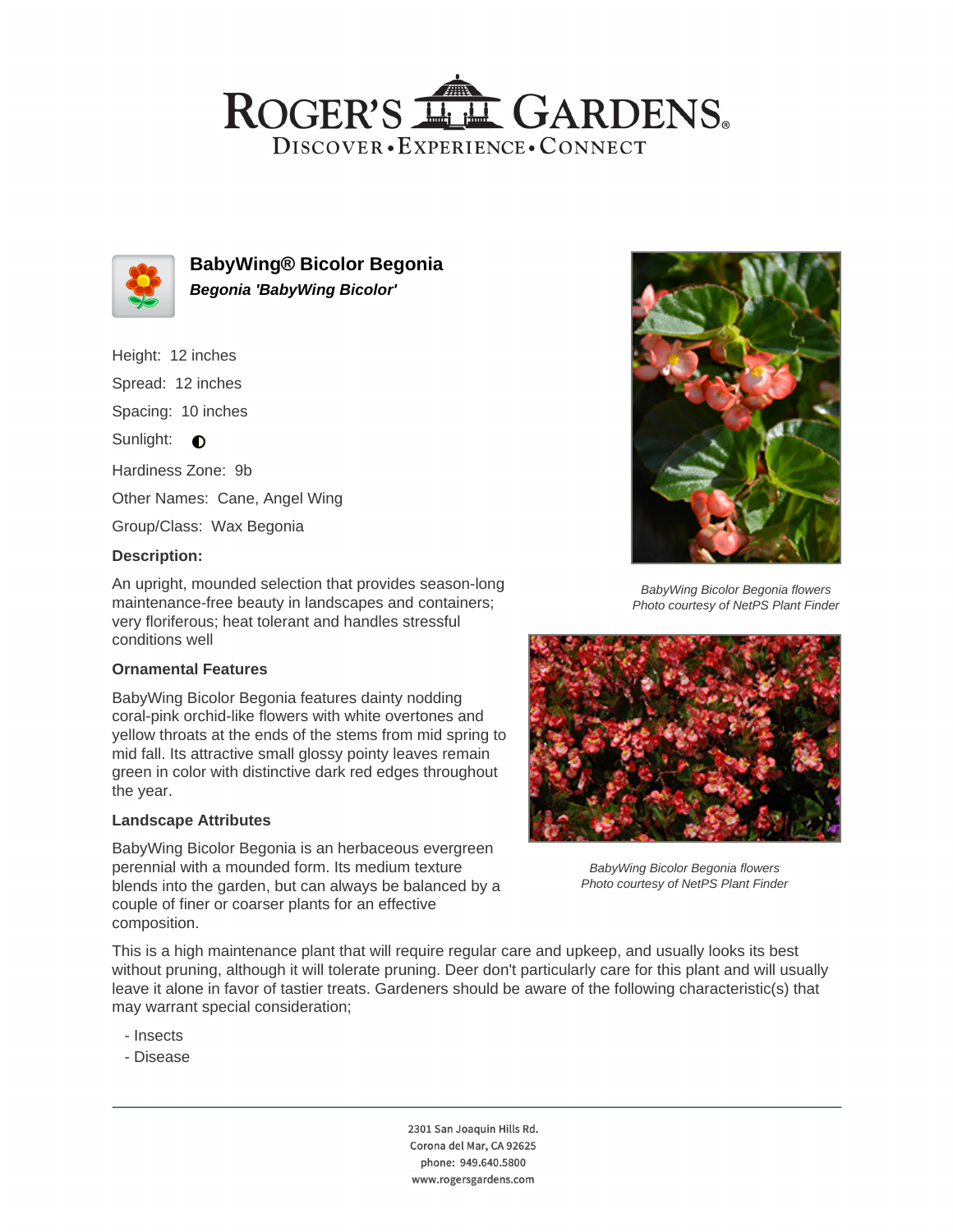## ROGER'S LL GARDENS. DISCOVER · EXPERIENCE · CONNECT



**BabyWing® Bicolor Begonia Begonia 'BabyWing Bicolor'**

- Height: 12 inches
- Spread: 12 inches

Spacing: 10 inches

Sunlight:  $\bullet$ 

Hardiness Zone: 9b

Other Names: Cane, Angel Wing

Group/Class: Wax Begonia

## **Description:**

An upright, mounded selection that provides season-long maintenance-free beauty in landscapes and containers; very floriferous; heat tolerant and handles stressful conditions well

#### **Ornamental Features**

BabyWing Bicolor Begonia features dainty nodding coral-pink orchid-like flowers with white overtones and yellow throats at the ends of the stems from mid spring to mid fall. Its attractive small glossy pointy leaves remain green in color with distinctive dark red edges throughout the year.

#### **Landscape Attributes**

BabyWing Bicolor Begonia is an herbaceous evergreen perennial with a mounded form. Its medium texture blends into the garden, but can always be balanced by a couple of finer or coarser plants for an effective composition.



BabyWing Bicolor Begonia flowers Photo courtesy of NetPS Plant Finder



BabyWing Bicolor Begonia flowers Photo courtesy of NetPS Plant Finder

This is a high maintenance plant that will require regular care and upkeep, and usually looks its best without pruning, although it will tolerate pruning. Deer don't particularly care for this plant and will usually leave it alone in favor of tastier treats. Gardeners should be aware of the following characteristic(s) that may warrant special consideration;

- Insects
- Disease

2301 San Joaquin Hills Rd. Corona del Mar, CA 92625 phone: 949.640.5800 www.rogersgardens.com